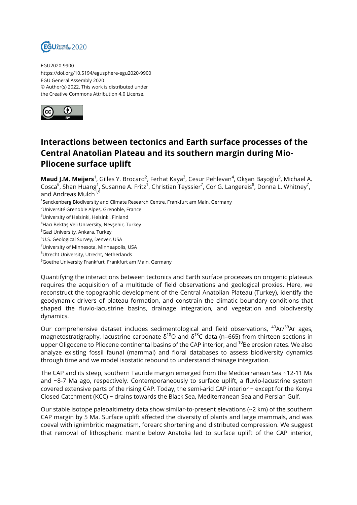

EGU2020-9900 https://doi.org/10.5194/egusphere-egu2020-9900 EGU General Assembly 2020 © Author(s) 2022. This work is distributed under the Creative Commons Attribution 4.0 License.



## **Interactions between tectonics and Earth surface processes of the Central Anatolian Plateau and its southern margin during Mio-Pliocene surface uplift**

**Maud J.M. Meijers**<sup>1</sup>, Gilles Y. Brocard<sup>2</sup>, Ferhat Kaya<sup>3</sup>, Cesur Pehlevan<sup>4</sup>, Okşan Başoğlu<sup>5</sup>, Michael A. Cosca<sup>6</sup>, Shan Huang<sup>1</sup>, Susanne A. Fritz<sup>1</sup>, Christian Teyssier<sup>7</sup>, Cor G. Langereis<sup>8</sup>, Donna L. Whitney<sup>7</sup>, and Andreas Mulch<sup>1,9</sup>

<sup>1</sup>Senckenberg Biodiversity and Climate Research Centre, Frankfurt am Main, Germany

- <sup>2</sup>Université Grenoble Alpes, Grenoble, France
- <sup>3</sup>University of Helsinki, Helsinki, Finland
- <sup>4</sup>Hacı Bektaş Veli University, Nevşehir, Turkey

<sup>5</sup>Gazi University, Ankara, Turkey

<sup>6</sup>U.S. Geological Survey, Denver, USA

 $7$ University of Minnesota, Minneapolis, USA

<sup>8</sup>Utrecht University, Utrecht, Netherlands

<sup>9</sup>Goethe University Frankfurt, Frankfurt am Main, Germany

Quantifying the interactions between tectonics and Earth surface processes on orogenic plateaus requires the acquisition of a multitude of field observations and geological proxies. Here, we reconstruct the topographic development of the Central Anatolian Plateau (Turkey), identify the geodynamic drivers of plateau formation, and constrain the climatic boundary conditions that shaped the fluvio-lacustrine basins, drainage integration, and vegetation and biodiversity dynamics.

Our comprehensive dataset includes sedimentological and field observations,  $40Ar^{39}Ar$  ages, magnetostratigraphy, lacustrine carbonate  $\delta^{18}$ O and  $\delta^{13}$ C data (n=665) from thirteen sections in upper Oligocene to Pliocene continental basins of the CAP interior, and <sup>10</sup>Be erosion rates. We also analyze existing fossil faunal (mammal) and floral databases to assess biodiversity dynamics through time and we model isostatic rebound to understand drainage integration.

The CAP and its steep, southern Tauride margin emerged from the Mediterranean Sea ~12-11 Ma and ~8-7 Ma ago, respectively. Contemporaneously to surface uplift, a fluvio-lacustrine system covered extensive parts of the rising CAP. Today, the semi-arid CAP interior − except for the Konya Closed Catchment (KCC) − drains towards the Black Sea, Mediterranean Sea and Persian Gulf.

Our stable isotope paleoaltimetry data show similar-to-present elevations (~2 km) of the southern CAP margin by 5 Ma. Surface uplift affected the diversity of plants and large mammals, and was coeval with ignimbritic magmatism, forearc shortening and distributed compression. We suggest that removal of lithospheric mantle below Anatolia led to surface uplift of the CAP interior,